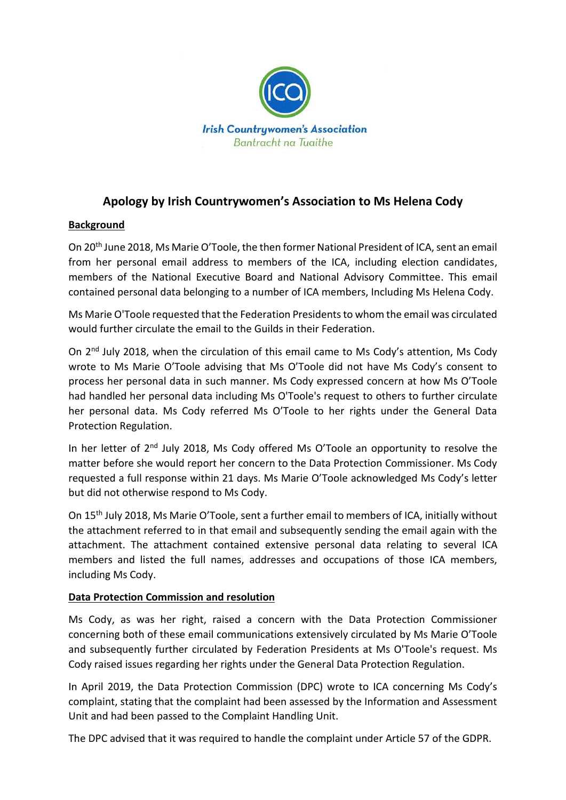

# **Apology by Irish Countrywomen's Association to Ms Helena Cody**

### **Background**

On 20th June 2018, Ms Marie O'Toole, the then former National President of ICA, sent an email from her personal email address to members of the ICA, including election candidates, members of the National Executive Board and National Advisory Committee. This email contained personal data belonging to a number of ICA members, Including Ms Helena Cody.

Ms Marie O'Toole requested that the Federation Presidents to whom the email was circulated would further circulate the email to the Guilds in their Federation.

On 2nd July 2018, when the circulation of this email came to Ms Cody's attention, Ms Cody wrote to Ms Marie O'Toole advising that Ms O'Toole did not have Ms Cody's consent to process her personal data in such manner. Ms Cody expressed concern at how Ms O'Toole had handled her personal data including Ms O'Toole's request to others to further circulate her personal data. Ms Cody referred Ms O'Toole to her rights under the General Data Protection Regulation.

In her letter of 2<sup>nd</sup> July 2018, Ms Cody offered Ms O'Toole an opportunity to resolve the matter before she would report her concern to the Data Protection Commissioner. Ms Cody requested a full response within 21 days. Ms Marie O'Toole acknowledged Ms Cody's letter but did not otherwise respond to Ms Cody.

On 15th July 2018, Ms Marie O'Toole, sent a further email to members of ICA, initially without the attachment referred to in that email and subsequently sending the email again with the attachment. The attachment contained extensive personal data relating to several ICA members and listed the full names, addresses and occupations of those ICA members, including Ms Cody.

### **Data Protection Commission and resolution**

Ms Cody, as was her right, raised a concern with the Data Protection Commissioner concerning both of these email communications extensively circulated by Ms Marie O'Toole and subsequently further circulated by Federation Presidents at Ms O'Toole's request. Ms Cody raised issues regarding her rights under the General Data Protection Regulation.

In April 2019, the Data Protection Commission (DPC) wrote to ICA concerning Ms Cody's complaint, stating that the complaint had been assessed by the Information and Assessment Unit and had been passed to the Complaint Handling Unit.

The DPC advised that it was required to handle the complaint under Article 57 of the GDPR.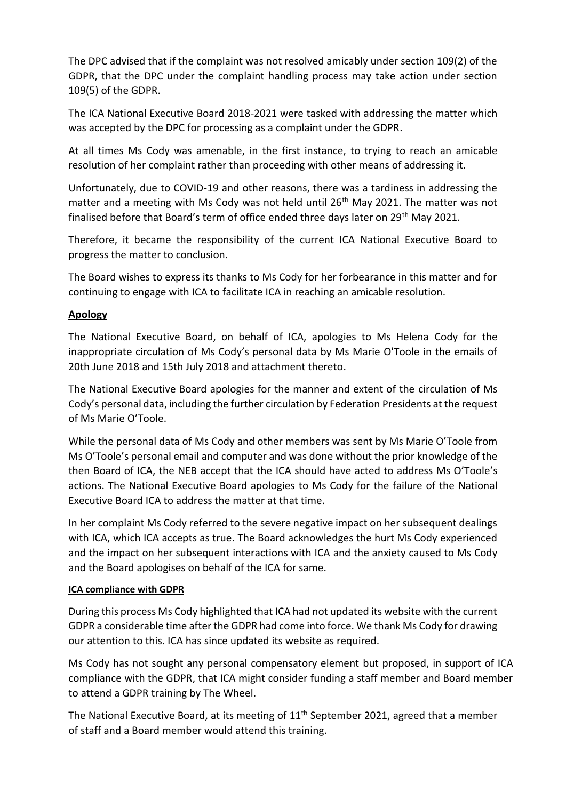The DPC advised that if the complaint was not resolved amicably under section 109(2) of the GDPR, that the DPC under the complaint handling process may take action under section 109(5) of the GDPR.

The ICA National Executive Board 2018-2021 were tasked with addressing the matter which was accepted by the DPC for processing as a complaint under the GDPR.

At all times Ms Cody was amenable, in the first instance, to trying to reach an amicable resolution of her complaint rather than proceeding with other means of addressing it.

Unfortunately, due to COVID-19 and other reasons, there was a tardiness in addressing the matter and a meeting with Ms Cody was not held until 26<sup>th</sup> May 2021. The matter was not finalised before that Board's term of office ended three days later on 29th May 2021.

Therefore, it became the responsibility of the current ICA National Executive Board to progress the matter to conclusion.

The Board wishes to express its thanks to Ms Cody for her forbearance in this matter and for continuing to engage with ICA to facilitate ICA in reaching an amicable resolution.

## **Apology**

The National Executive Board, on behalf of ICA, apologies to Ms Helena Cody for the inappropriate circulation of Ms Cody's personal data by Ms Marie O'Toole in the emails of 20th June 2018 and 15th July 2018 and attachment thereto.

The National Executive Board apologies for the manner and extent of the circulation of Ms Cody's personal data, including the further circulation by Federation Presidents at the request of Ms Marie O'Toole.

While the personal data of Ms Cody and other members was sent by Ms Marie O'Toole from Ms O'Toole's personal email and computer and was done without the prior knowledge of the then Board of ICA, the NEB accept that the ICA should have acted to address Ms O'Toole's actions. The National Executive Board apologies to Ms Cody for the failure of the National Executive Board ICA to address the matter at that time.

In her complaint Ms Cody referred to the severe negative impact on her subsequent dealings with ICA, which ICA accepts as true. The Board acknowledges the hurt Ms Cody experienced and the impact on her subsequent interactions with ICA and the anxiety caused to Ms Cody and the Board apologises on behalf of the ICA for same.

### **ICA compliance with GDPR**

During this process Ms Cody highlighted that ICA had not updated its website with the current GDPR a considerable time after the GDPR had come into force. We thank Ms Cody for drawing our attention to this. ICA has since updated its website as required.

Ms Cody has not sought any personal compensatory element but proposed, in support of ICA compliance with the GDPR, that ICA might consider funding a staff member and Board member to attend a GDPR training by The Wheel.

The National Executive Board, at its meeting of  $11<sup>th</sup>$  September 2021, agreed that a member of staff and a Board member would attend this training.